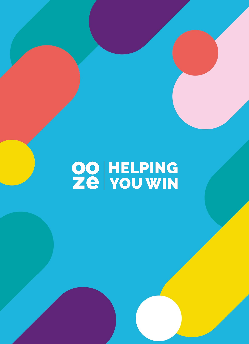# OO HELPING<br>Ze You WIN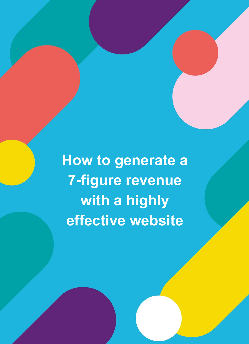**How to generate a 7-figure revenue with a highly effective website**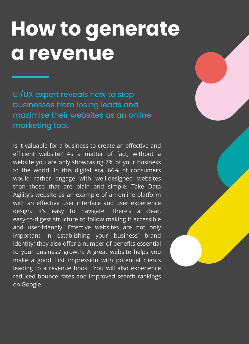### **How to generate a revenue**

UI/UX expert reveals how to stop businesses from losing leads and maximise their websites as an online marketing tool.

Is it valuable for a business to create an effective and efficient website? As a matter of fact, without a website you are only showcasing 7% of your business to the world. In this digital era, 66% of consumers would rather engage with well-designed websites than those that are plain and simple. Take Data Agility's website as an example of an online platform with an effective user interface and user experience design. It's easy to navigate. There's a clear, easy-to-digest structure to follow making it accessible and user-friendly. Effective websites are not only important in establishing your business' brand identity; they also offer a number of benefits essential to your business' growth. A great website helps you make a good first impression with potential clients leading to a revenue boost. You will also experience reduced bounce rates and improved search rankings on Google.

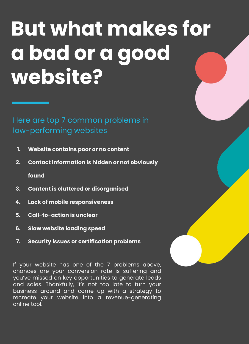### **But what makes for a bad or a good website?**

Here are top 7 common problems in low-performing websites

- **1. Website contains poor or no content**
- **2. Contact information is hidden or not obviously found**
- **3. Content is cluttered or disorganised**
- **4. Lack of mobile responsiveness**
- **5. Call-to-action is unclear**
- **6. Slow website loading speed**
- **7. Security issues or certification problems**

If your website has one of the 7 problems above, chances are your conversion rate is suffering and you've missed on key opportunities to generate leads and sales. Thankfully, it's not too late to turn your business around and come up with a strategy to recreate your website into a revenue-generating online tool.

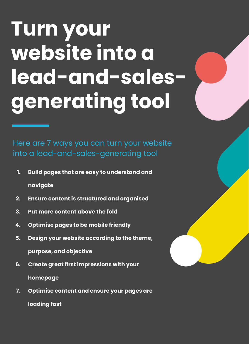## **Turn your website into a lead-and-salesgenerating tool**

Here are 7 ways you can turn your website into a lead-and-sales-generating tool

- **1. Build pages that are easy to understand and navigate**
- **2. Ensure content is structured and organised**
- **3. Put more content above the fold**
- **4. Optimise pages to be mobile friendly**
- **5. Design your website according to the theme, purpose, and objective**
- **6. Create great first impressions with your homepage**
- **7. Optimise content and ensure your pages are loading fast**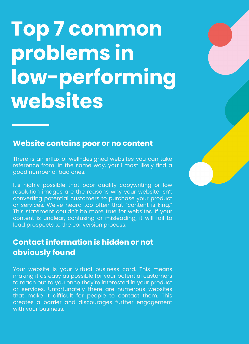### **Top 7 common problems in low-performing websites**

#### **Website contains poor or no content**

There is an influx of well-designed websites you can take reference from. In the same way, you'll most likely find a good number of bad ones.

It's highly possible that poor quality copywriting or low resolution images are the reasons why your website isn't converting potential customers to purchase your product or services. We've heard too often that "content is king." This statement couldn't be more true for websites. If your content is unclear, confusing or misleading, it will fail to lead prospects to the conversion process.

#### **Contact information is hidden or not obviously found**

Your website is your virtual business card. This means making it as easy as possible for your potential customers to reach out to you once they're interested in your product or services. Unfortunately there are numerous websites that make it difficult for people to contact them. This creates a barrier and discourages further engagement with your business.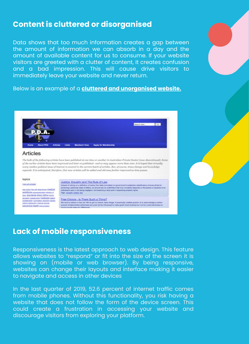#### **Content is cluttered or disorganised**

Data shows that too much information creates a gap between the amount of information we can absorb in a day and the amount of available content for us to consume. If your website visitors are greeted with a clutter of content, it creates confusion and a bad impression. This will cause drive visitors to immediately leave your website and never return.

Below is an example of a **cluttered and unorganised website.**



#### **Lack of mobile responsiveness**

Responsiveness is the latest approach to web design. This feature allows websites to "respond" or fit into the size of the screen it is showing on (mobile or web browser). By being responsive, websites can change their layouts and interface making it easier to navigate and access in other devices

In the last quarter of 2019, 52.6 percent of internet traffic comes from mobile phones. Without this functionality, you risk having a website that does not follow the form of the device screen. This could create a frustration in accessing your website and discourage visitors from exploring your platform.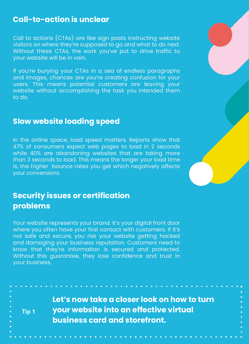#### **Call-to-action is unclear**

Call to actions (CTAs) are like sign posts instructing website visitors on where they're supposed to go and what to do next. Without these CTAs, the work you've put to drive traffic to your website will be in vain.

If you're burying your CTAs in a sea of endless paragraphs and images, chances are you're creating confusion for your users. This means potential customers are leaving your website without accomplishing the task you intended them to do.

#### **Slow website loading speed**

In the online space, load speed matters. Reports show that 47% of consumers expect web pages to load in 2 seconds while 40% are abandoning websites that are taking more than 3 seconds to load. This means the longer your load time is, the higher bounce rates you get which negatively affects your conversions.

#### **Security issues or certification problems**

**Tip 1**

Your website represents your brand. It's your digital front door where you often have your first contact with customers. If it's not safe and secure, you risk your website getting hacked and damaging your business reputation. Customers need to know that they're information is secured and protected. Without this guarantee, they lose confidence and trust in your business.

> **Let's now take a closer look on how to turn your website into an effective virtual business card and storefront.**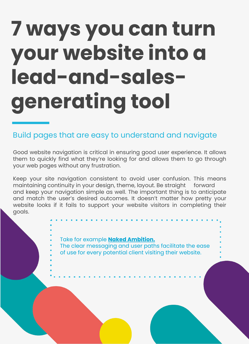### **7 ways you can turn your website into a lead-and-salesgenerating tool**

#### Build pages that are easy to understand and navigate

Good website navigation is critical in ensuring good user experience. It allows them to quickly find what they're looking for and allows them to go through your web pages without any frustration.

Keep your site navigation consistent to avoid user confusion. This means maintaining continuity in your design, theme, layout. Be straight forward and keep your navigation simple as well. The important thing is to anticipate and match the user's desired outcomes. It doesn't matter how pretty your website looks if it fails to support your website visitors in completing their goals.

#### Take for example **[Naked Ambition.](https://oozestudios.com.au/case-study-na/)**

The clear messaging and user paths facilitate the ease of use for every potential client visiting their website.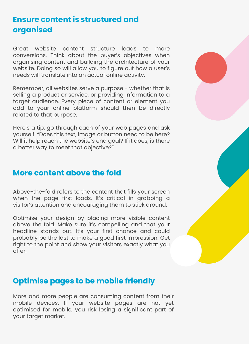#### **Ensure content is structured and organised**

Great website content structure leads to more conversions. Think about the buyer's objectives when organising content and building the architecture of your website. Doing so will allow you to figure out how a user's needs will translate into an actual online activity.

Remember, all websites serve a purpose - whether that is selling a product or service, or providing information to a target audience. Every piece of content or element you add to your online platform should then be directly related to that purpose.

Here's a tip: go through each of your web pages and ask yourself: "Does this text, image or button need to be here? Will it help reach the website's end goal? If it does, is there a better way to meet that objective?"

#### **More content above the fold**

Above-the-fold refers to the content that fills your screen when the page first loads. It's critical in grabbing a visitor's attention and encouraging them to stick around.

Optimise your design by placing more visible content above the fold. Make sure it's compelling and that your headline stands out. It's your first chance and could probably be the last to make a good first impression. Get right to the point and show your visitors exactly what you offer.

#### **Optimise pages to be mobile friendly**

More and more people are consuming content from their mobile devices. If your website pages are not yet optimised for mobile, you risk losing a significant part of your target market.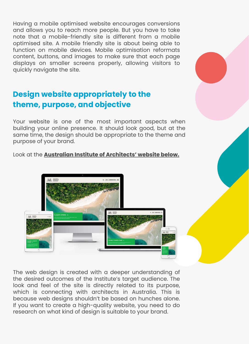Having a mobile optimised website encourages conversions and allows you to reach more people. But you have to take note that a mobile-friendly site is different from a mobile optimised site. A mobile friendly site is about being able to function on mobile devices. Mobile optimisation reformats content, buttons, and images to make sure that each page displays on smaller screens properly, allowing visitors to quickly navigate the site.

#### **Design website appropriately to the theme, purpose, and objective**

Your website is one of the most important aspects when building your online presence. It should look good, but at the same time, the design should be appropriate to the theme and purpose of your brand.

Look at the **Australian Institute of Architects' website below.**



The web design is created with a deeper understanding of the desired outcomes of the Institute's target audience. The look and feel of the site is directly related to its purpose, which is connecting with architects in Australia. This is because web designs shouldn't be based on hunches alone. If you want to create a high-quality website, you need to do research on what kind of design is suitable to your brand.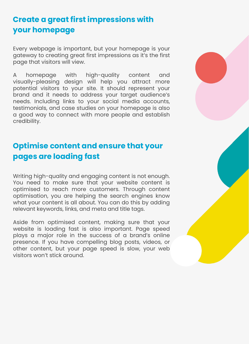### **Create a great first impressions with your homepage**

Every webpage is important, but your homepage is your gateway to creating great first impressions as it's the first page that visitors will view.

A homepage with high-quality content and visually-pleasing design will help you attract more potential visitors to your site. It should represent your brand and it needs to address your target audience's needs. Including links to your social media accounts, testimonials, and case studies on your homepage is also a good way to connect with more people and establish credibility.

#### **Optimise content and ensure that your pages are loading fast**

Writing high-quality and engaging content is not enough. You need to make sure that your website content is optimised to reach more customers. Through content optimisation, you are helping the search engines know what your content is all about. You can do this by adding relevant keywords, links, and meta and title tags.

Aside from optimised content, making sure that your website is loading fast is also important. Page speed plays a major role in the success of a brand's online presence. If you have compelling blog posts, videos, or other content, but your page speed is slow, your web visitors won't stick around.

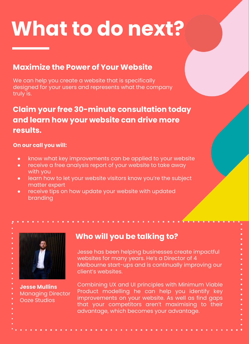### **What to do next?**

#### **Maximize the Power of Your Website**

We can help you create a website that is specifically designed for your users and represents what the company truly is.

#### **Claim your free 30-minute consultation today and learn how your website can drive more results.**

#### **On our call you will:**

- know what key improvements can be applied to your website
- receive a free analysis report of your website to take away with you
- learn how to let your website visitors know you're the subject matter expert
- receive tips on how update your website with updated branding



**Jesse Mullins** Managing Director Ooze Studios

#### **Who will you be talking to?**

Jesse has been helping businesses create impactful websites for many years. He's a Director of 4 Melbourne start-ups and is continually improving our client's websites.

Combining UX and UI principles with Minimum Viable Product modelling he can help you identify key improvements on your website. As well as find gaps that your competitors aren't maximising to their advantage, which becomes your advantage.